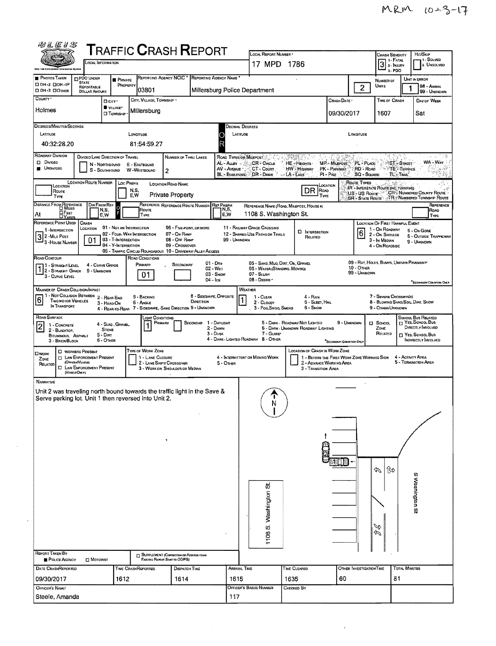| 四孔医り名                                                |                                                                                                                                         |                                                  |                                                   |                                       |                                                                               | ${\sf T}$ RAFFIC ${\sf C}$ RASH ${\sf R}$ EPORT                                                    |                   | LOCAL REPORT NUMBER *                                              |                                                                       |                                                                         |                            | <b>CRASH SEVERITY</b>                                                            |                                       | Hr/SkiP                                      |
|------------------------------------------------------|-----------------------------------------------------------------------------------------------------------------------------------------|--------------------------------------------------|---------------------------------------------------|---------------------------------------|-------------------------------------------------------------------------------|----------------------------------------------------------------------------------------------------|-------------------|--------------------------------------------------------------------|-----------------------------------------------------------------------|-------------------------------------------------------------------------|----------------------------|----------------------------------------------------------------------------------|---------------------------------------|----------------------------------------------|
|                                                      |                                                                                                                                         | LOCAL INFORMATION                                |                                                   |                                       |                                                                               |                                                                                                    |                   | 17 MPD 1786                                                        |                                                                       |                                                                         |                            | $3$ : FATAL                                                                      |                                       | 1 - SOLVED<br>2. UNSOLVED                    |
| <b>PHOTOS TAKEN</b>                                  | <b>DPDO UNDER</b>                                                                                                                       |                                                  | <b>PRIVATE</b>                                    |                                       |                                                                               | REPORTING AGENCY NCIC * REPORTING AGENCY NAME *                                                    |                   |                                                                    |                                                                       |                                                                         |                            | $3 - PDO$                                                                        |                                       | UNIT IN ERROR                                |
| □ ОН -2 □ ОН -1Р<br><b>ДОН-3 ДОТНЕР</b>              | <b>STATE</b><br>REPORTABLE<br><b>DOLLAR AMOUNT</b>                                                                                      |                                                  | PROPERTY                                          | 03801                                 |                                                                               |                                                                                                    |                   | Millersburg Police Department                                      |                                                                       |                                                                         | $\overline{2}$             | NUMBER OF<br>Units                                                               |                                       | 98 - Animal<br>99 - UNKNOWN                  |
| COUNTY <sup>*</sup>                                  |                                                                                                                                         | D <sub>ciry</sub> .                              |                                                   | CITY, VILLAGE, TOWNSHIP               |                                                                               |                                                                                                    |                   |                                                                    |                                                                       | Сваѕн Date •                                                            |                            | TIME OF CRASH                                                                    |                                       | DAY OF WEEK                                  |
| Holmes                                               |                                                                                                                                         | VILLAGE*<br><b>CI TOWNSHIP</b>                   |                                                   | Millersburg                           |                                                                               |                                                                                                    |                   |                                                                    |                                                                       | 09/30/2017                                                              |                            | 1607                                                                             |                                       | Sat                                          |
| DEGREES/MINUTES/SECONDS<br>LATITUDE                  |                                                                                                                                         |                                                  | LONGITUDE                                         |                                       |                                                                               |                                                                                                    |                   | Decimal Degrees<br>LATITUDE                                        |                                                                       |                                                                         | LONGITUDE                  |                                                                                  |                                       |                                              |
| 40:32:28.20                                          |                                                                                                                                         |                                                  |                                                   | 81:54:59.27                           |                                                                               |                                                                                                    | R                 |                                                                    |                                                                       |                                                                         |                            |                                                                                  |                                       |                                              |
| ROADWAY DIVISION                                     |                                                                                                                                         | <b>DIVIDED LANE DIRECTION OF TRAVEL</b>          |                                                   |                                       | NUMBER OF THRU LANES                                                          |                                                                                                    |                   | ROAD TYPES OR MILEPOST                                             |                                                                       |                                                                         |                            |                                                                                  |                                       |                                              |
| D Divideo<br><b>UNDIVIDED</b>                        |                                                                                                                                         | N - NORTHBOUND<br>S - SOUTHBOUND                 |                                                   | E - EASTBOUND<br>W-WESTBOUND          | $\overline{2}$                                                                |                                                                                                    | AV - Avenue       | AL - ALLEY - SALCR - CIRCLE<br>CT - Count                          | HE-Heights<br><b>HW</b> - Highway                                     | MP - MILEPOST<br>PK - PARKWAY                                           | PL - PLACE<br>RD-Roap      |                                                                                  | <b>ST-STREET</b><br><b>TE</b> TERRACE | WA - WAY                                     |
|                                                      | <b>LOCATION ROUTE NUMBER</b>                                                                                                            |                                                  | <b>LOC PREFIX</b>                                 |                                       | <b>LOCATION ROAD NAME</b>                                                     |                                                                                                    |                   | BL: BOULEVARD DR - DRIVE                                           | - LA - LANS                                                           | $P1 - P$ IKE                                                            | SQ - SQUARE<br>Route Types |                                                                                  | TL' TRAK                              |                                              |
| LOCATION<br>Route<br>TYPE                            |                                                                                                                                         |                                                  | N,S,<br>E.W                                       |                                       | <b>Private Property</b>                                                       |                                                                                                    |                   |                                                                    | DR ROAD                                                               | LOCATION<br>TYPE                                                        |                            | IR - INTERSTATE ROUTE (INC. TURNPIKE)<br>US'- US Roure CR-Numsered County Route  |                                       |                                              |
| DISTANCE FROM REFERENCE                              |                                                                                                                                         | DIR FROM REF<br>$\Omega$                         |                                                   |                                       | REFERENCE REFERENCE ROUTE NUMBER                                              |                                                                                                    | <b>REF PREFIX</b> |                                                                    | REFERENCE NAME (ROAD, MILEPOST, HOUSE #)                              |                                                                         |                            | SR - STATE ROUTE TR - NUMBERED TOWNSHIP ROUTE                                    |                                       | REFERENCE                                    |
| At                                                   | <b>OFEET</b><br>DYAROS                                                                                                                  | N,S,<br>E,W                                      |                                                   | Route<br> Type                        |                                                                               |                                                                                                    | N,S,<br>E,W       | 1108 S. Washington St.                                             |                                                                       |                                                                         |                            |                                                                                  |                                       | ROAD<br><b>TYPE</b>                          |
| REFERENCE POINT USED<br>1 - INTERSECTION             | CRASH<br>LOCATION                                                                                                                       |                                                  | 01 - Not an Intersection                          |                                       |                                                                               | 06 - FIVE-POINT, OR MORE                                                                           |                   | 11 - RAILWAY GRADE CROSSING                                        | <b>D</b> INTERSECTION                                                 |                                                                         |                            | LOCATION OF FIRST HARMFUL EVENT<br>1 - On ROADWAY                                |                                       | 5 - On Gone                                  |
| 3 2 - Mile Post<br>3 - House Number                  | 01                                                                                                                                      |                                                  | 02 - Four-WAY INTERSECTION<br>03 - T-Intersection |                                       | 07 - On RAMP<br>08 - OFF RAMP                                                 |                                                                                                    | 99 - UNKNOWN      | 12 - SHARED USE PATHS OR TRAILS                                    | RELATED                                                               |                                                                         | $6\overline{6}$            | 2 - ON SHOULDE<br>3 - In Meorn                                                   |                                       | <b>6 - OUTSIDE TRAFFICWAY</b><br>9 - UNKNOWN |
|                                                      |                                                                                                                                         |                                                  | 04 - Y INTERSECTION                               |                                       | 09 - Crossover                                                                | 05 - TRAFFIC CIRCLE/ ROUNDABOUT 10 - DRIVEWAY/ ALLEY ACCESS                                        |                   |                                                                    |                                                                       |                                                                         |                            | 4 - On ROADSIDE                                                                  |                                       |                                              |
| Road Contour<br>11 - Straight Level                  |                                                                                                                                         | 4 - CURVE GRADE                                  |                                                   | ROAD CONDITIONS<br>Primary            | SECONDARY                                                                     | $01 - \text{Dar}$<br>02 - WET                                                                      |                   | 05 - SAND, MUD, DIRT, OIL, GRAVEL<br>06 - WATER (STANDING, MOVING) |                                                                       |                                                                         | $10 -$ OTHER               | 09 - RUT, HOLES, BUMPS, UNEVEN PAVEMENT*                                         |                                       |                                              |
| 1 2 - STRAIGHT GRADE<br>3 - CURVE LEVEL              |                                                                                                                                         | 9 - UNKNOWN                                      |                                                   | 01                                    |                                                                               | 03 - Snow<br>04 - Ice                                                                              |                   | 07 - SLUSH<br>08 - Deans                                           |                                                                       |                                                                         | 99 - UNKNOWN               |                                                                                  |                                       |                                              |
| <b>MANNER OF CRASH COLLISION/MPACT</b>               |                                                                                                                                         |                                                  |                                                   |                                       |                                                                               |                                                                                                    |                   | WEATHER                                                            |                                                                       |                                                                         |                            |                                                                                  |                                       | "Secondary Condition CMLY                    |
| 6 <br>IN TRANSPORT                                   | 1 - Not Collision Between 2 - Rear-End<br><b>TWO MOTOR VEHICLES</b>                                                                     | 3 - HEAD-ON                                      |                                                   | 5 BACKING<br>6 - ANGLE                |                                                                               | 8 - SIDESWIPE, OPPOSITE<br>DIRECTION<br>4 - REAR-TO-REAR 7 - SIDESWIPE, SAME DIRECTION 9 - UNKNOWN |                   | 1 - CLEAR<br>2 - CLOUDY<br>3 - Fog, SMDG, SMOKE                    | $4 - R_{AB}$<br>5 - SLEET, HAIL<br>6 - Snow                           |                                                                         |                            | 7 - SEVERE CROSSWINDS<br>8 - BLOWING SAND, SOIL, DIRT, SNOW<br>9 - OTHER/UNKNOWN |                                       |                                              |
| ROAD SURFACE                                         |                                                                                                                                         |                                                  |                                                   | <b>IGHT CONDITIONS</b>                |                                                                               |                                                                                                    |                   |                                                                    |                                                                       |                                                                         |                            |                                                                                  |                                       | School Bus Related<br>TT YES, SCHOOL BUS     |
| $ \tilde{2} $<br>1 - CONCRETE<br>2 - BLACKTOP.       |                                                                                                                                         | 4 - Slag , Gravel,<br><b>STONE</b><br>$5 - DIRT$ |                                                   | PRIMARY                               |                                                                               | SECONDAR 1 - DAYLIGHT<br>2 - DAWN<br>3 - Dusk                                                      |                   | 7 - GLARE*                                                         | 5 - DARK - ROADWAY NOT LIGHTED<br>6 - DARK - UNKNOWN ROADWAY LIGHTING |                                                                         | 9 - UNKNOWN                | П SCHOOL<br>ZONE<br>RELATED                                                      |                                       | DIRECTLY INVOLVED<br>T YES, SCHOOL BUS       |
| 3 - BRICK/BLOCK                                      | <b>BITUMINOUS, ASPHALT</b>                                                                                                              | 6 - OTHER                                        |                                                   |                                       |                                                                               |                                                                                                    |                   | 4 - DARK - LIGHTED ROADWAY 8 - OTHER                               |                                                                       | "SECONDARY CONDITION ONLY                                               |                            |                                                                                  |                                       | <b>INDIRECTLY INVOLVED</b>                   |
| <b>OWORK</b><br>ZONE<br>RELATED                      | <b>C</b> WORKERS PRESENT<br><b>D</b> LAW ENFORCEMENT PRESENT<br>(OFFICER/VEHICLE)<br><b>D</b> LAW ENFORCEMENT PRESENT<br>(VEHICLE ONLY) |                                                  |                                                   | TYPE OF WORK ZONE<br>1 - LANE CLOSURE | 2 - LANE SHIFT/ CROSSOVER<br>3 - WORK ON SHOULDER OR MEDIAN                   |                                                                                                    | 5 - OTHER         | 4 - INTERMITTENT OR MOVING WORK                                    | LOCATION OF CRASH IN WORK ZONE<br>3 - Transition Area                 | 1 - BEFORE THE FIRST WORK ZONE WARNING SIGN<br>2 - ADVANCE WARNING AREA |                            |                                                                                  | 4 - ACTIVITY AREA                     | 5 - TERMINATION AREA                         |
| NARRATNE                                             |                                                                                                                                         |                                                  |                                                   |                                       |                                                                               |                                                                                                    |                   |                                                                    |                                                                       |                                                                         |                            |                                                                                  |                                       |                                              |
|                                                      |                                                                                                                                         |                                                  |                                                   |                                       |                                                                               | Unit 2 was traveling north bound towards the traffic light in the Save &                           |                   |                                                                    |                                                                       |                                                                         |                            |                                                                                  |                                       |                                              |
| Serve parking lot. Unit 1 then reversed into Unit 2. |                                                                                                                                         |                                                  |                                                   |                                       |                                                                               |                                                                                                    |                   | N                                                                  |                                                                       |                                                                         |                            |                                                                                  |                                       |                                              |
|                                                      |                                                                                                                                         |                                                  |                                                   |                                       |                                                                               |                                                                                                    |                   |                                                                    |                                                                       |                                                                         |                            |                                                                                  |                                       |                                              |
|                                                      |                                                                                                                                         |                                                  |                                                   |                                       |                                                                               |                                                                                                    |                   |                                                                    |                                                                       |                                                                         |                            |                                                                                  |                                       |                                              |
|                                                      |                                                                                                                                         |                                                  |                                                   |                                       | ۲                                                                             |                                                                                                    |                   |                                                                    |                                                                       |                                                                         |                            |                                                                                  |                                       |                                              |
|                                                      |                                                                                                                                         |                                                  |                                                   |                                       |                                                                               |                                                                                                    |                   |                                                                    |                                                                       |                                                                         |                            |                                                                                  |                                       |                                              |
|                                                      |                                                                                                                                         |                                                  |                                                   |                                       |                                                                               |                                                                                                    |                   |                                                                    |                                                                       |                                                                         |                            |                                                                                  |                                       |                                              |
|                                                      |                                                                                                                                         |                                                  |                                                   |                                       |                                                                               |                                                                                                    |                   |                                                                    |                                                                       |                                                                         |                            | 僦<br>⇘                                                                           |                                       | ω                                            |
|                                                      |                                                                                                                                         |                                                  |                                                   |                                       |                                                                               |                                                                                                    |                   |                                                                    |                                                                       |                                                                         |                            |                                                                                  |                                       |                                              |
|                                                      |                                                                                                                                         |                                                  |                                                   |                                       |                                                                               |                                                                                                    |                   |                                                                    |                                                                       |                                                                         |                            |                                                                                  |                                       | Washington St                                |
|                                                      |                                                                                                                                         |                                                  |                                                   |                                       |                                                                               |                                                                                                    |                   |                                                                    |                                                                       |                                                                         |                            |                                                                                  |                                       |                                              |
|                                                      |                                                                                                                                         |                                                  |                                                   |                                       |                                                                               |                                                                                                    |                   |                                                                    |                                                                       |                                                                         |                            |                                                                                  |                                       |                                              |
|                                                      |                                                                                                                                         |                                                  |                                                   |                                       |                                                                               |                                                                                                    |                   | 1108 S. Washington St                                              |                                                                       |                                                                         |                            | Þ<br>À                                                                           |                                       |                                              |
|                                                      |                                                                                                                                         |                                                  |                                                   |                                       |                                                                               |                                                                                                    |                   |                                                                    |                                                                       |                                                                         |                            |                                                                                  |                                       |                                              |
| <b>REPORT TAKEN BY</b><br>POLICE AGENCY              |                                                                                                                                         | <b>D</b> MOTORIST                                |                                                   |                                       | [7] SUPPLEMENT (CORRECTION OR ADDITION 10 AM<br>Existing Report Sent to ODPS) |                                                                                                    |                   |                                                                    |                                                                       |                                                                         |                            |                                                                                  |                                       |                                              |
| DATE CRASHREPORTED                                   |                                                                                                                                         |                                                  | <b>TIME CRASHREPORTED</b>                         |                                       | <b>DISPATCH TIME</b>                                                          |                                                                                                    |                   | ARRIVAL TIME                                                       | <b>TIME CLEARED</b>                                                   |                                                                         | OTHER INVESTIGATION TIME   |                                                                                  | <b>TOTAL MINUTES</b>                  |                                              |
| 09/30/2017                                           |                                                                                                                                         |                                                  | 1612                                              |                                       | 1614                                                                          |                                                                                                    | 1615              |                                                                    | 1635                                                                  | 60                                                                      |                            |                                                                                  | 81                                    |                                              |
| OFFICER'S NAME*                                      |                                                                                                                                         |                                                  |                                                   |                                       |                                                                               |                                                                                                    |                   | <b>OFFICER'S BADGE NUMBER</b>                                      | CHECKED BY                                                            |                                                                         |                            |                                                                                  |                                       |                                              |
| Steele, Amanda                                       |                                                                                                                                         |                                                  |                                                   |                                       |                                                                               |                                                                                                    |                   | 117                                                                |                                                                       |                                                                         |                            |                                                                                  |                                       |                                              |

 $\mathcal{L}_{\text{max}}$  , where  $\mathcal{L}_{\text{max}}$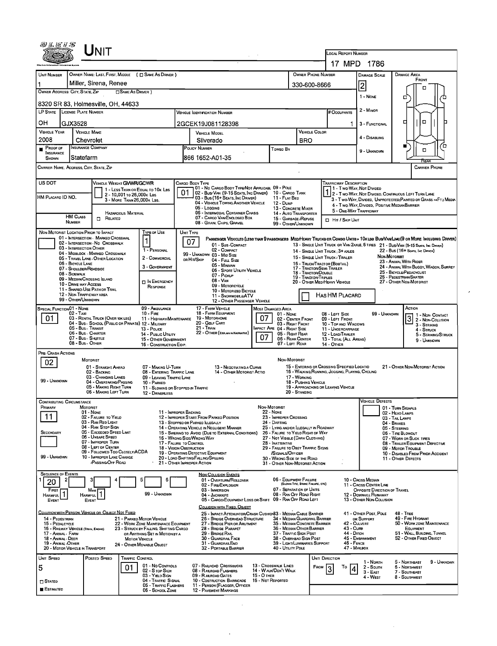|                                                                                                                                        |                                                      | UNIT                                                                               |                            |                                                                               |                                                                                                  |                                                                                                                                                                                                                                     |                                                                                                                               |                                         |                                                                              |                                                                                                                                                                               |                                                      |                                                                                                                                                                         |                                                   |                                                        |              |                                                                                                                        |                                      |  |  |
|----------------------------------------------------------------------------------------------------------------------------------------|------------------------------------------------------|------------------------------------------------------------------------------------|----------------------------|-------------------------------------------------------------------------------|--------------------------------------------------------------------------------------------------|-------------------------------------------------------------------------------------------------------------------------------------------------------------------------------------------------------------------------------------|-------------------------------------------------------------------------------------------------------------------------------|-----------------------------------------|------------------------------------------------------------------------------|-------------------------------------------------------------------------------------------------------------------------------------------------------------------------------|------------------------------------------------------|-------------------------------------------------------------------------------------------------------------------------------------------------------------------------|---------------------------------------------------|--------------------------------------------------------|--------------|------------------------------------------------------------------------------------------------------------------------|--------------------------------------|--|--|
|                                                                                                                                        |                                                      |                                                                                    |                            |                                                                               |                                                                                                  |                                                                                                                                                                                                                                     |                                                                                                                               |                                         |                                                                              |                                                                                                                                                                               |                                                      | <b>LOCAL REPORT NUMBER</b>                                                                                                                                              |                                                   |                                                        |              |                                                                                                                        |                                      |  |  |
|                                                                                                                                        |                                                      |                                                                                    |                            |                                                                               |                                                                                                  |                                                                                                                                                                                                                                     |                                                                                                                               |                                         |                                                                              |                                                                                                                                                                               |                                                      | 17 MPD                                                                                                                                                                  |                                                   | 1786                                                   |              |                                                                                                                        |                                      |  |  |
| UNIT NUMBER<br>1                                                                                                                       |                                                      | OWNER NAME: LAST, FIRST, MIDDLE ( C SAME AS DRIVER )<br>Miller, Sirena, Renee      |                            |                                                                               |                                                                                                  | <b>OWNER PHONE NUMBER</b>                                                                                                                                                                                                           |                                                                                                                               |                                         |                                                                              | <b>DAMAGE SCALE</b>                                                                                                                                                           |                                                      | <b>DAMAGE AREA</b>                                                                                                                                                      | FRONT                                             |                                                        |              |                                                                                                                        |                                      |  |  |
| OWNER ADDRESS: CITY, STATE, ZIP                                                                                                        |                                                      |                                                                                    | □ Same As Driver )         |                                                                               |                                                                                                  |                                                                                                                                                                                                                                     |                                                                                                                               |                                         |                                                                              |                                                                                                                                                                               | $\overline{2}$<br>330-600-8666<br>п                  |                                                                                                                                                                         |                                                   |                                                        |              |                                                                                                                        |                                      |  |  |
| 8320 SR 83, Holmesville, OH, 44633                                                                                                     |                                                      |                                                                                    |                            |                                                                               |                                                                                                  |                                                                                                                                                                                                                                     |                                                                                                                               |                                         |                                                                              |                                                                                                                                                                               |                                                      |                                                                                                                                                                         |                                                   | 1 - NONE<br>о                                          |              |                                                                                                                        |                                      |  |  |
| LP STATE LICENSE PLATE NUMBER<br><b>VEHICLE IOENTIFICATION NUMBER</b>                                                                  |                                                      |                                                                                    |                            |                                                                               |                                                                                                  |                                                                                                                                                                                                                                     |                                                                                                                               |                                         |                                                                              |                                                                                                                                                                               |                                                      | # Occupants                                                                                                                                                             |                                                   | 2 - MINOR                                              |              |                                                                                                                        |                                      |  |  |
| OН                                                                                                                                     | GJX3528                                              |                                                                                    |                            |                                                                               |                                                                                                  | 2GCEK19J081128398                                                                                                                                                                                                                   |                                                                                                                               |                                         |                                                                              |                                                                                                                                                                               |                                                      |                                                                                                                                                                         |                                                   | 3 - FUNCTIONAL                                         | $\Box$       |                                                                                                                        |                                      |  |  |
| <b>VEHICLE YEAR</b>                                                                                                                    | <b>VEHICLE MAKE</b>                                  |                                                                                    |                            |                                                                               | <b>VEHICLE MODEL</b>                                                                             |                                                                                                                                                                                                                                     |                                                                                                                               |                                         |                                                                              |                                                                                                                                                                               | <b>VEHICLE COLOR</b>                                 |                                                                                                                                                                         |                                                   | 4 - DISABLING                                          |              |                                                                                                                        |                                      |  |  |
| 2008<br>Proof of                                                                                                                       | Chevrolet<br><b>INSURANCE COMPANY</b>                |                                                                                    |                            |                                                                               | Silverado<br>POLICY NUMBER<br>Toweo By                                                           |                                                                                                                                                                                                                                     |                                                                                                                               |                                         |                                                                              | <b>BRO</b>                                                                                                                                                                    |                                                      |                                                                                                                                                                         |                                                   |                                                        |              | u                                                                                                                      | o<br>□                               |  |  |
| <b>INSURANCE</b><br>SHOWN                                                                                                              | Statefarm                                            |                                                                                    |                            |                                                                               | 866 1652-A01-35                                                                                  |                                                                                                                                                                                                                                     |                                                                                                                               |                                         |                                                                              |                                                                                                                                                                               |                                                      |                                                                                                                                                                         |                                                   | 9 - UNKNOWN                                            |              |                                                                                                                        |                                      |  |  |
| CARRIER NAME, ADDRESS, CITY, STATE, ZIP                                                                                                |                                                      |                                                                                    |                            |                                                                               |                                                                                                  |                                                                                                                                                                                                                                     |                                                                                                                               |                                         |                                                                              |                                                                                                                                                                               |                                                      |                                                                                                                                                                         |                                                   |                                                        |              |                                                                                                                        | <b>CARRIER PHONE</b>                 |  |  |
| US DOT                                                                                                                                 |                                                      | VEHICLE WEIGHT GWWR/GCWR                                                           |                            |                                                                               |                                                                                                  | CARGO BODY TYPE                                                                                                                                                                                                                     |                                                                                                                               |                                         |                                                                              |                                                                                                                                                                               |                                                      | <b>TRAFFICWAY DESCRIPTION</b>                                                                                                                                           |                                                   |                                                        |              |                                                                                                                        |                                      |  |  |
|                                                                                                                                        |                                                      |                                                                                    | 2 - 10,001 To 26,000 k Las | 1 - LESS THAN OR EQUAL TO 10K LBS                                             | 01                                                                                               | 01 - No CARGO BODY TYPE/NOT APPLICABL 09 - POLE<br>02 - Bus/Van (9-15 Seats, Inc Driver) 10 - Cargo Tank                                                                                                                            |                                                                                                                               |                                         |                                                                              |                                                                                                                                                                               |                                                      | 1 1- Two-Way, Not Divideo                                                                                                                                               |                                                   |                                                        |              |                                                                                                                        |                                      |  |  |
| HM Placaro ID NO.                                                                                                                      |                                                      |                                                                                    | 3 - MORE THAN 26,000K LBS. |                                                                               |                                                                                                  | 03 - Bus (16+ SEATS, INC DRIVER)<br>05 - Logging                                                                                                                                                                                    | 04 - VEHICLE TOWING ANOTHER VEHICLE                                                                                           |                                         | 11 - FLAT BED<br>12 - Dump                                                   |                                                                                                                                                                               |                                                      | 2 - Two-Way, Not Divideo, Continuous Left Turn Lane<br>3 - Two-WAY, DIVIDEO, UNPROTECTEO (PAINTED OR GRASS >4FT.) MEDIA<br>4 - Two-WAY, DIVIDED, POSITIVE MEDIANBARRIER |                                                   |                                                        |              |                                                                                                                        |                                      |  |  |
|                                                                                                                                        | HM CLASS                                             | $\Box$ Related                                                                     | HAZAROOUS MATERIAL         |                                                                               |                                                                                                  | 07 - CARGO VAN/ENGLDSED BOX                                                                                                                                                                                                         | 06 - INTERMODAL CONTAINER CHASIS                                                                                              |                                         | 13 - CONCRETE MIXER<br><b>14 - AUTO TRANSPORTER</b><br>15 - GARBAGE / REFUSE |                                                                                                                                                                               |                                                      |                                                                                                                                                                         |                                                   | 5 - ONE-WAY TRAFFICWAY                                 |              |                                                                                                                        |                                      |  |  |
|                                                                                                                                        | <b>NUMBER</b>                                        |                                                                                    |                            |                                                                               |                                                                                                  | 08 - GRAIN, CHIPS, GRAVEL                                                                                                                                                                                                           |                                                                                                                               |                                         | 99 - OTHER/UNKNOWN                                                           |                                                                                                                                                                               |                                                      | □ Hr / SкiP UNiT                                                                                                                                                        |                                                   |                                                        |              |                                                                                                                        |                                      |  |  |
| NON-MOTORIST LOCATION PRIOR TO IMPACT                                                                                                  |                                                      | 01 - INTERSECTION - MARKED CROSSWAL                                                |                            | <b>TYPE OF USE</b><br>1                                                       | UNIT TYPE                                                                                        |                                                                                                                                                                                                                                     | Passenger Vehicles (less than 9 passengers Med/Heavy Trucks or Combo Units > 10x lbs Bus/Van/Limo(9 or More Including Driver) |                                         |                                                                              |                                                                                                                                                                               |                                                      |                                                                                                                                                                         |                                                   |                                                        |              |                                                                                                                        |                                      |  |  |
|                                                                                                                                        | 03 - INTERSECTION OTHER                              | 02 - INTERSECTION - NO CROSSWALK                                                   |                            | 1 - PERSONAL                                                                  |                                                                                                  | 07                                                                                                                                                                                                                                  | 01 - SUB-COMPACT<br>02 - COMPACT                                                                                              |                                         |                                                                              |                                                                                                                                                                               |                                                      | 14 - SINGLE UNIT TRUCK : 3+ AXLES                                                                                                                                       |                                                   |                                                        |              | 13 - SINGLE UNIT TRUCK OR VAN 2AXLE, 6 TIRES 21 - BUS/VAN (9-15 SEATS, INC DRIVER)<br>22 - Bus (16+ Seats, Inc Denver) |                                      |  |  |
|                                                                                                                                        | 06 - BICYCLE LANE                                    | 04 - MIDBLOCK - MARKEO CROSSWALK<br>05 - TRAVEL LANE - OTHER LOCATION              |                            | 2 - COMMERCIAL                                                                |                                                                                                  | 99 - UNKNOWN 03 - MID SIZE<br>OR HIT/SKIP                                                                                                                                                                                           | 04 - Fuu, Size                                                                                                                |                                         |                                                                              |                                                                                                                                                                               |                                                      | 15 - SINGLE UNIT TRUCK / TRAILER<br>16 - TRUCK/TRACTOR (BOSTAIL)                                                                                                        |                                                   |                                                        | Non MOTORIST | 23 - ANIMAL WITH RIDER                                                                                                 |                                      |  |  |
|                                                                                                                                        | 07 - SHOULDER/ROADSIDE<br>08 - SIDEWALK              |                                                                                    |                            | 3 - GOVERNMENT                                                                |                                                                                                  | 05 - MINIVAN                                                                                                                                                                                                                        | 06 - SPORT UTILITY VEHICLE                                                                                                    |                                         |                                                                              | 18 - Tractor/Double                                                                                                                                                           |                                                      | 17 - TRACTOR/SEMI-TRAILER                                                                                                                                               |                                                   |                                                        |              | 24 - ANIMAL WITH BUGGY, WAGON, SURREY<br>25 - BICYCLE/PEDACYCLIST                                                      |                                      |  |  |
|                                                                                                                                        | 09 - MEDIAN/CROSSING ISLAND<br>10 - DRIVE WAY ACCESS |                                                                                    |                            | <b>DIN EMERGENCY</b>                                                          | 07 - Pickup<br>$08 - V_{AN}$<br>09 - MOTORCYCLE                                                  |                                                                                                                                                                                                                                     |                                                                                                                               |                                         |                                                                              |                                                                                                                                                                               | 19 - TRACTOR/TRIPLES<br>20 - OTHER MED/HEAVY VEHICLE |                                                                                                                                                                         |                                                   |                                                        |              | 26 - PEOESTRIAN/SKATER<br>27 - OTHER NON-MOTORIST                                                                      |                                      |  |  |
|                                                                                                                                        | 12 - NON-TRAFFICWAY AREA                             | 11 - Shareo-Use Path or Trail                                                      |                            | RESPONSE                                                                      | 10 - MOTORIZEO BICYCLE<br>11 - SNOWMOBILE/ATV                                                    |                                                                                                                                                                                                                                     |                                                                                                                               |                                         |                                                                              |                                                                                                                                                                               |                                                      | HAS HM PLACARD                                                                                                                                                          |                                                   |                                                        |              |                                                                                                                        |                                      |  |  |
| <b>SPECIAL FUNCTION 01 - NONE</b>                                                                                                      | 99 - OTHER/UNKNOWN                                   |                                                                                    |                            | 09 - AMBULANCE                                                                |                                                                                                  | 17 - FARM VEHICLE                                                                                                                                                                                                                   | 12 - OTHER PASSENGER VEHICLE                                                                                                  |                                         | <b>MOST DAMAGED AREA</b>                                                     |                                                                                                                                                                               |                                                      |                                                                                                                                                                         |                                                   |                                                        |              | ACTION                                                                                                                 |                                      |  |  |
| 01                                                                                                                                     | 02 - Taxi                                            | 03 - RENTAL TRUCK (OVER 10K LBS)                                                   |                            | $10 -$ Fire<br>11 - HIGHWAY/MAINTENANCE                                       | 18 - FARM EQUIPMENT<br>01 - NONE<br>07<br>19 - Мотовноме                                         |                                                                                                                                                                                                                                     |                                                                                                                               |                                         |                                                                              | 08 - LEFT SIDE<br>02 - CENTER FRONT<br>09 - LEFT FRONT                                                                                                                        |                                                      |                                                                                                                                                                         |                                                   |                                                        | 99 - UNKNOWN | $\vert$                                                                                                                | 1 - Non CONTACT<br>2 - Non-Collision |  |  |
|                                                                                                                                        | 05 - Bus - Transit                                   | 04 - Bus - SCHOOL (PUBLIC OR PRIVATE) 12 - MILITARY                                |                            | 13 - Pouce                                                                    | 20 - GOLF CART<br>21 - Train<br>MPACT ARE 04 - RIGHT SIDE                                        |                                                                                                                                                                                                                                     |                                                                                                                               |                                         |                                                                              | 03 - RIGHT FRONT<br>10 - TOP AND WINDOWS<br>11 - UNOERCARRIAGE                                                                                                                |                                                      |                                                                                                                                                                         |                                                   |                                                        |              |                                                                                                                        | 3 - STRIKING<br>4 - STRUCK           |  |  |
|                                                                                                                                        | 06 - Bus - Charter<br>07 - Bus - SHUTTLE             |                                                                                    |                            | 14 - Puslic UTILITY<br>15 - OTHER GOVERNMENT                                  | 22 - OTHER (EXPLAIN IN NARRAITVE)<br>05 - RIGHT REAR<br>07<br>06 - REAR CENTER<br>07 - LEFT REAR |                                                                                                                                                                                                                                     |                                                                                                                               |                                         |                                                                              |                                                                                                                                                                               |                                                      | 12 - LOAD/TRAILER<br>13 - TOTAL (ALL AREAS)                                                                                                                             |                                                   |                                                        |              |                                                                                                                        | 5 - STRIKING/STRUCK<br>9 - Unknown   |  |  |
| PRE- CRASH ACTIONS                                                                                                                     | 08 - Bus - OTHER                                     |                                                                                    |                            | 16 - CONSTRUCTION EOIP.                                                       |                                                                                                  |                                                                                                                                                                                                                                     |                                                                                                                               |                                         |                                                                              |                                                                                                                                                                               |                                                      | <b>14 - OTHER</b>                                                                                                                                                       |                                                   |                                                        |              |                                                                                                                        |                                      |  |  |
| 02                                                                                                                                     |                                                      | <b>MOTORIST</b>                                                                    |                            |                                                                               |                                                                                                  |                                                                                                                                                                                                                                     |                                                                                                                               |                                         | NON-MOTORIST                                                                 |                                                                                                                                                                               |                                                      |                                                                                                                                                                         |                                                   |                                                        |              |                                                                                                                        |                                      |  |  |
|                                                                                                                                        |                                                      | 01 - Straight Ahead<br>02 - Backing<br>03 - CHANGING LANES                         |                            | 07 - MAKING U-TURN<br>08 - ENTERING TRAFFIC LANE<br>09 - LEAVING TRAFFIC LANE | 13 - Negotiating a Curve<br>14 - OTHER MOTORIST ACTIO                                            |                                                                                                                                                                                                                                     |                                                                                                                               |                                         |                                                                              | 15 - ENTERING OR CROSSING SPECIFIED LOCATIO<br>16 - WALKING RUNNING, JOGGING, PLAYING, CYCLING<br>17 - WORKING<br>18 - PUSHING VEHICLE<br>19 - APPROACHING OR LEAVING VEHICLE |                                                      |                                                                                                                                                                         |                                                   | 21 - OTHER NON-MOTORIST ACTION                         |              |                                                                                                                        |                                      |  |  |
| 99 - UNKNOWN                                                                                                                           |                                                      | 04 - OVERTAKING/PASSING<br>05 - Making Right Turn                                  |                            | 10 - PARKED<br>11 - SLOWING OR STOPPED IN TRAFFIC                             |                                                                                                  |                                                                                                                                                                                                                                     |                                                                                                                               |                                         |                                                                              |                                                                                                                                                                               |                                                      |                                                                                                                                                                         |                                                   |                                                        |              |                                                                                                                        |                                      |  |  |
|                                                                                                                                        |                                                      | 06 - MAKING LEFT TURN                                                              |                            | 12 - DRIVERLESS                                                               |                                                                                                  |                                                                                                                                                                                                                                     |                                                                                                                               |                                         |                                                                              | 20 - Standing                                                                                                                                                                 |                                                      |                                                                                                                                                                         |                                                   |                                                        |              |                                                                                                                        |                                      |  |  |
| <b>CONTRIBUTING CIRCUMSTANCE</b><br>Primary                                                                                            | MOTORIST                                             |                                                                                    |                            |                                                                               |                                                                                                  |                                                                                                                                                                                                                                     |                                                                                                                               | NON-MOTORIST                            |                                                                              |                                                                                                                                                                               |                                                      |                                                                                                                                                                         |                                                   | <b>VEHICLE DEFECTS</b>                                 |              | 01 - TURN SIGNALS                                                                                                      |                                      |  |  |
| 11                                                                                                                                     |                                                      | 01 - None<br>02 - FAILURE TO YIELD<br>03 - RAN RED LIGHT                           |                            | 11 - IMPROPER BACKING                                                         |                                                                                                  | 12 - IMPROPER START FROM PARKED POSITION                                                                                                                                                                                            |                                                                                                                               |                                         | <b>22 - NONE</b><br>23 - IMPROPER CROSSING                                   |                                                                                                                                                                               |                                                      |                                                                                                                                                                         |                                                   |                                                        |              | 02 - HEAD LAMPS<br>03 - TAIL LAMPS                                                                                     |                                      |  |  |
| <b>SECONDARY</b>                                                                                                                       |                                                      | 04 - RAN STOP SIGN<br>05 - Exceeded Speed Limit                                    |                            |                                                                               |                                                                                                  | 24 - DARTING<br>13 - STOPPEO OR PARKED ILLEGALLY<br>25 - LYING AND/OR ILLEGALLY IN ROADWAY<br>14 - OPERATING VEHICLE IN NEGLIGENT MANNER<br>15 - SWERING TO AVOID (DUE TO EXTERNAL CONDITIONS)<br>26 - FALURE TO YIELD RIGHT OF WAY |                                                                                                                               |                                         |                                                                              |                                                                                                                                                                               |                                                      |                                                                                                                                                                         | 04 - BRAKES<br>05 - STEERING<br>06 - TIRE BLOWOUT |                                                        |              |                                                                                                                        |                                      |  |  |
|                                                                                                                                        |                                                      | 06 - UNSAFE SPEED<br>07 - IMPROPER TURN                                            |                            |                                                                               |                                                                                                  | 16 - WRONG SIDE/WRONG WAY<br>27 - NOT VISIBLE (DARK CLOTHING)<br>17 - FALURE TO CONTROL<br>28 - INATTENTIVE                                                                                                                         |                                                                                                                               |                                         |                                                                              |                                                                                                                                                                               |                                                      | 07 - WORN OR SLICK TIRES<br>08 - TRAILER EQUIPMENT DEFECTIVE                                                                                                            |                                                   |                                                        |              |                                                                                                                        |                                      |  |  |
| 99 - UNKNOWN                                                                                                                           |                                                      | 08 - LEFT OF CENTER<br>09 - FOLLOWED TOO CLOSELY/ACDA<br>10 - IMPROPER LANE CHANGE |                            |                                                                               |                                                                                                  | 29 - FAILURE TO OBEY TRAFFIC SIGNS<br>18 - Vision Obstruction<br>19 - OPERATING DEFECTIVE EQUIPMENT<br>/SIGNALS/OFFICER                                                                                                             |                                                                                                                               |                                         |                                                                              |                                                                                                                                                                               |                                                      |                                                                                                                                                                         |                                                   |                                                        |              | 09 - MOTOR TROUBLE<br>10 - DISABLED FROM PRIOR ACCIDENT                                                                |                                      |  |  |
|                                                                                                                                        |                                                      | /PASSING/OFF ROAD                                                                  |                            |                                                                               |                                                                                                  | 20 - LOAD SHIFTING/FALLING/SPILLING<br>21 - OTHER IMPROPER ACTION                                                                                                                                                                   |                                                                                                                               |                                         | 30 - WRONG SIDE DF THE ROAD<br>31 - OTHER NON-MOTORIST ACTION                |                                                                                                                                                                               |                                                      |                                                                                                                                                                         |                                                   |                                                        |              | 11 - OTHER DEFECTS                                                                                                     |                                      |  |  |
| <b>SEQUENCE OF EVENTS</b>                                                                                                              | 2                                                    | з                                                                                  |                            | 5<br>6                                                                        |                                                                                                  | <b>NON-COLLISION EVENTS</b>                                                                                                                                                                                                         | 01 - OVERTURN/ROLLOVER                                                                                                        |                                         | 06 - EQUIPMENT FAILURE                                                       |                                                                                                                                                                               |                                                      |                                                                                                                                                                         |                                                   | 10 - Cross Median                                      |              |                                                                                                                        |                                      |  |  |
| 20<br>FIRST                                                                                                                            |                                                      | Most                                                                               |                            |                                                                               |                                                                                                  | 02 - FIRE/EXPLOSION<br>03 - IMMERSION                                                                                                                                                                                               |                                                                                                                               |                                         | 07 - SEPARATION OF UNITS                                                     | (BLOWN TIRE, BRAKE FAILURE, ETC)                                                                                                                                              |                                                      |                                                                                                                                                                         |                                                   | 11 - CROSS CENTER LINE<br>OPPOSITE DIRECTION OF TRAVEL |              |                                                                                                                        |                                      |  |  |
| HARMFUL.<br>EVENT                                                                                                                      | <b>HARMFUL</b>                                       | EVENT                                                                              |                            | 99 - UNKNOWN                                                                  |                                                                                                  | 04 - JACKKNIFE                                                                                                                                                                                                                      | 05 - CARGO/EOUIPMENT LOSS OR SHIFT 09 - RAN OFF ROAD LEFT                                                                     |                                         | 08 - RAN OFF ROAD RIGHT                                                      |                                                                                                                                                                               |                                                      |                                                                                                                                                                         |                                                   | 12 - DOWNHILL RUNAWAY<br>13 - OTHER NON-COLLISION      |              |                                                                                                                        |                                      |  |  |
|                                                                                                                                        |                                                      | COLLISION WITH PERSON, VEHICLE OR OBJECT NOT FIXED                                 |                            |                                                                               |                                                                                                  |                                                                                                                                                                                                                                     | COLLISION WITH FIXED, OBJECT                                                                                                  |                                         |                                                                              |                                                                                                                                                                               |                                                      |                                                                                                                                                                         |                                                   |                                                        |              |                                                                                                                        |                                      |  |  |
| 14 - PEDESTRIAN<br>15 - PEDALCYCLE                                                                                                     |                                                      |                                                                                    |                            | 21 - PARKED MOTOR VEHICLE<br>22 - WORK ZONE MAINTENANCE EQUIPMENT             |                                                                                                  | 25 - IMPACT ATTENUATOR/CRASH CUSHIDI83 - MEDIAN CABLE BARRIER<br>26 - BRIDGE OVERHEAD STRUCTURE<br>34 - MEDIAN GUARDRAIL BARRIER<br>27 - BRIDGE PIER OR ABUTMENT<br>35 - MEDIAN CONCRETE BARRIER                                    |                                                                                                                               |                                         |                                                                              |                                                                                                                                                                               |                                                      | 41 - OTHER POST, POLE<br><b>48 - TREE</b><br>49 - FIRE HYDRANT<br>OR SUPPORT<br>42 - CULVERT<br>50 - WORK ZONE MAINTENANCE                                              |                                                   |                                                        |              |                                                                                                                        |                                      |  |  |
| 16 - RAILWAY VEHICLE (TRAIN, ENGINE)<br>23 - STRUCK BY FALLING, SHIFTING CARGO<br>17 - Animal - Farm<br>OR ANYTHING SET IN MOTION BY A |                                                      |                                                                                    |                            |                                                                               |                                                                                                  | 28 - BRIDGE PARAPET<br>29 - BRIDGE RAIL                                                                                                                                                                                             |                                                                                                                               |                                         | 36 - MEDIAN OTHER BARRIER<br>37 - TRAFFIC SIGN POST                          |                                                                                                                                                                               |                                                      |                                                                                                                                                                         | 43 - Cure<br>44 - Опсн                            | EQUIPMENT<br>51 - WALL, BUILDING, TUNNEL               |              |                                                                                                                        |                                      |  |  |
| 18 - ANIMAL - DEER<br>19 - Animal Other                                                                                                | 20 - MOTOR VEHICLE IN TRANSPORT                      |                                                                                    | <b>MOTOR VEHICLE</b>       | 24 - OTHER MOVABLE OBJECT                                                     |                                                                                                  | 30 - GUARDRAIL FACE<br>38 - OVERHEAD SIGN POST<br>31 - GUARDRAILEND<br>39 - LIGHT/LUMINARIES SUPPORT<br>40 - UTILITY PDLE<br>32 - PORTABLE BARRIER                                                                                  |                                                                                                                               |                                         |                                                                              |                                                                                                                                                                               |                                                      | 45 - EMBANKMENT<br>52 - OTHER FIXED OBJECT<br>46 - FENCE<br>47 MALBOX                                                                                                   |                                                   |                                                        |              |                                                                                                                        |                                      |  |  |
| UNIT SPEED                                                                                                                             |                                                      | POSTED SPEED                                                                       | <b>TRAFFIC CONTROL</b>     |                                                                               |                                                                                                  |                                                                                                                                                                                                                                     |                                                                                                                               |                                         |                                                                              |                                                                                                                                                                               | <b>UNIT DIRECTION</b>                                |                                                                                                                                                                         |                                                   |                                                        |              |                                                                                                                        |                                      |  |  |
| 5                                                                                                                                      |                                                      |                                                                                    | 01                         | 01 - No Controls<br>02 - S TOP SIGN                                           |                                                                                                  | 07 - RAILROAD CROSSBUCKS<br>08 - RAILROAD FLASHERS                                                                                                                                                                                  |                                                                                                                               |                                         | 13 - Crosswalk Lines<br>14 - W ALK/DON'T WALK                                |                                                                                                                                                                               | FROM                                                 | То                                                                                                                                                                      |                                                   | 1 - Norm<br>$2 -$ South                                |              | 5 - Northeast<br>6 - NORTHWEST                                                                                         | 9 - UNKNOWN                          |  |  |
| $\square$ Stated                                                                                                                       |                                                      |                                                                                    |                            | 03 - YIELD SIGN<br>04 - TRAFFIC SIGNAL                                        |                                                                                                  | 09 - R AILROAD GATES<br>10 - COSTRUCTION BARRICADE                                                                                                                                                                                  |                                                                                                                               | <b>15 - O THER</b><br>16 - Not Reported |                                                                              |                                                                                                                                                                               |                                                      |                                                                                                                                                                         |                                                   | $3 - EAST$<br>4 - West                                 |              | 7 - SOUTHEAST<br>8 - SoutHWEST                                                                                         |                                      |  |  |
| <b>ESTIMATED</b>                                                                                                                       |                                                      |                                                                                    |                            | 05 - TRAFFIC FLASHERS<br>06 - SCHODL ZONE                                     |                                                                                                  | 11 - PERSON (FLAGGER, OFFICER<br><b>12 - PAVEMENT MARKINGS</b>                                                                                                                                                                      |                                                                                                                               |                                         |                                                                              |                                                                                                                                                                               |                                                      |                                                                                                                                                                         |                                                   |                                                        |              |                                                                                                                        |                                      |  |  |

 $\mathcal{L}^{\text{max}}_{\text{max}}$ 

 $\mathcal{A}^{\text{max}}$ 

 $\epsilon$ 

 $\sim 10^{-1}$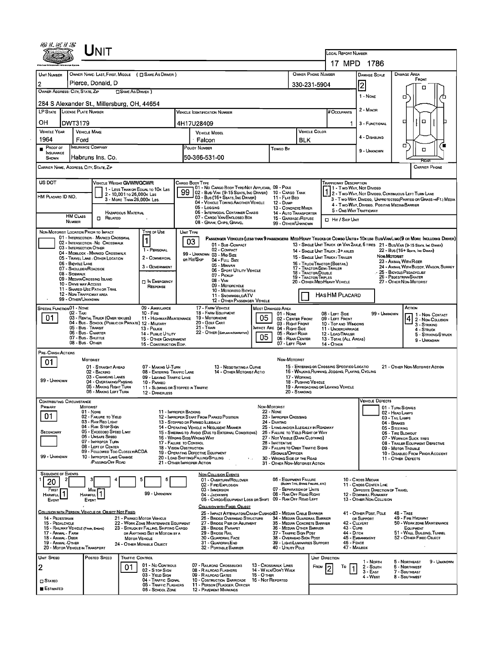|                                             |                                                                                         |                                                                          |                                                                                                                |                                                     |                                                                             |                                                                      | LOCAL REPORT NUMBER                              |                                                                        |                                                                                                                               |  |  |  |
|---------------------------------------------|-----------------------------------------------------------------------------------------|--------------------------------------------------------------------------|----------------------------------------------------------------------------------------------------------------|-----------------------------------------------------|-----------------------------------------------------------------------------|----------------------------------------------------------------------|--------------------------------------------------|------------------------------------------------------------------------|-------------------------------------------------------------------------------------------------------------------------------|--|--|--|
|                                             |                                                                                         |                                                                          |                                                                                                                |                                                     |                                                                             | 17 MPD 1786                                                          |                                                  |                                                                        |                                                                                                                               |  |  |  |
| UNIT NUMBER                                 |                                                                                         | OWNER NAME: LAST, FIRST, MIDDLE ( C SAME AS DRIVER )                     |                                                                                                                |                                                     |                                                                             | OWNER PHONE NUMBER                                                   |                                                  | DAMAGE SCALE                                                           | <b>DAMAGE AREA</b>                                                                                                            |  |  |  |
|                                             | Pierce, Donald, D                                                                       |                                                                          |                                                                                                                |                                                     |                                                                             |                                                                      |                                                  |                                                                        | FRONT                                                                                                                         |  |  |  |
|                                             | OWNER ADDRESS: CITY, STATE, ZIP                                                         | SAME AS DRIVER )                                                         |                                                                                                                |                                                     | 330-231-5904                                                                |                                                                      | $\overline{2}$                                   | п                                                                      |                                                                                                                               |  |  |  |
|                                             |                                                                                         |                                                                          |                                                                                                                |                                                     |                                                                             |                                                                      |                                                  | 1 - NONE                                                               | σ                                                                                                                             |  |  |  |
|                                             | 284 S Alexander St., Millersburg, OH, 44654<br>LP STATE LICENSE PLATE NUMBER            |                                                                          |                                                                                                                |                                                     |                                                                             | # Occupants                                                          |                                                  | 2 - MINOR                                                              |                                                                                                                               |  |  |  |
|                                             |                                                                                         |                                                                          | <b>VEHICLE IDENTIFICATION NUMBER</b>                                                                           |                                                     |                                                                             |                                                                      |                                                  |                                                                        |                                                                                                                               |  |  |  |
| OН                                          | DWT3179                                                                                 |                                                                          | 4H17U28409                                                                                                     |                                                     |                                                                             |                                                                      |                                                  | 3 - FUNCTIONAL                                                         | O<br>о                                                                                                                        |  |  |  |
| <b>VEHICLE YEAR</b>                         | <b>VEHICLE MAKE</b>                                                                     |                                                                          | <b>VEHICLE MODEL</b>                                                                                           |                                                     | VEHICLE COLOR                                                               |                                                                      | 4 - DISABLING                                    |                                                                        |                                                                                                                               |  |  |  |
| 1964<br><b>PROOF OF</b>                     | Ford<br>INSURANCE COMPANY                                                               |                                                                          | Falcon<br>POLICY NUMBER                                                                                        | <b>BLK</b>                                          |                                                                             |                                                                      |                                                  | α.                                                                     |                                                                                                                               |  |  |  |
| <b>INSURANCE</b>                            | Habruns Ins. Co.                                                                        |                                                                          | 50-366-531-00                                                                                                  | Towed By                                            |                                                                             |                                                                      |                                                  | 9 - UNKNOWN                                                            | о                                                                                                                             |  |  |  |
| SHOWN                                       |                                                                                         |                                                                          |                                                                                                                |                                                     |                                                                             |                                                                      |                                                  |                                                                        | REAR<br><b>CARRIER PHONE</b>                                                                                                  |  |  |  |
|                                             | CARRIER NAME, ADDRESS, CITY, STATE, ZIP                                                 |                                                                          |                                                                                                                |                                                     |                                                                             |                                                                      |                                                  |                                                                        |                                                                                                                               |  |  |  |
| US DOT                                      |                                                                                         | VEHICLE WEIGHT GVWR/GCWR                                                 | Cargo Body Type                                                                                                |                                                     |                                                                             | <b>TRAFFICWAY DESCRIPTION</b>                                        |                                                  |                                                                        |                                                                                                                               |  |  |  |
|                                             |                                                                                         | 1 - LESS THAN OR EQUAL TO 10K LBS<br>2 - 10,001 To 26,000 K Las          | 01 - No CARGO BODY TYPE/NOT APPLICABL 09 - POLE<br>99<br>02 - Bus/Van (9-15 Seats, Inc Driver) 10 - Cargo Tank |                                                     |                                                                             |                                                                      |                                                  | 11 - Two-Way, Not Divideo                                              | 1 2 - Two-WAY, NOT DIVIDEO, CONTINUOUS LEFT TURN LANE                                                                         |  |  |  |
| HM PLACARO ID NO.                           |                                                                                         | 3 - MORE THAN 26,000K LBS.                                               | 03 - Bus (16+ Seats, Inc Driver)<br>04 - VEHICLE TOWING ANOTHER VEHICLE                                        |                                                     | 11 - FLAT BED<br><b>12 - DuмP</b>                                           |                                                                      |                                                  |                                                                        | 3 - Two Way, Divideo, Unprotecteo/Painteo or Grass > Ft. Media                                                                |  |  |  |
|                                             |                                                                                         | <b>HAZARDOUS MATERIAL</b>                                                | 05 - LOGGING<br>06 - INTERMODAL CONTAINER CHASIS                                                               |                                                     | 13 - CONCRETE MIXER<br>14 - AUTO TRANSPORTER                                |                                                                      |                                                  | 4 - Two-WAY, DIVIDEO, POSITIVE MEDIANBARRIER<br>5 - ONE WAY TRAFFICWAY |                                                                                                                               |  |  |  |
|                                             | <b>HM CLASS</b><br>$\Box$ Related<br><b>NUMBER</b>                                      |                                                                          | 07 - CARGO VAN ENCLOSED BOX                                                                                    |                                                     | 15 - GARBAGE /REFUSE                                                        |                                                                      | □ Hit / Skip UNIT                                |                                                                        |                                                                                                                               |  |  |  |
|                                             |                                                                                         |                                                                          | 08 - GRAIN, CHPS, GRAVEL                                                                                       |                                                     | 99 - OTHER/UNKNOWN                                                          |                                                                      |                                                  |                                                                        |                                                                                                                               |  |  |  |
|                                             | NON-MOTORIST LOCATION PRIOR TO IMPACT<br>01 - INTERSECTION - MARKED CROSSWAL            | TYPE OF USE<br>$\mathbf{1}$                                              | UNIT TYPE                                                                                                      |                                                     |                                                                             |                                                                      |                                                  |                                                                        | PASSENGER VEHICLES (LESS THAN 9 PASSENGERS MED/HEAVY TRUCKS OR COMBO UNITS > 10K LBS BUS/VAN/LIMO(9 OR MORE INCLUDING DRIVER) |  |  |  |
|                                             | 02 - INTERSECTION - NO CROSSWALK<br>03 - INTERSECTION OTHER                             | 1 - PERSONAL                                                             | 03<br>01 - Sue-COMPACT<br>02 - COMPACT                                                                         |                                                     |                                                                             |                                                                      |                                                  |                                                                        | 13 - SINGLE UNIT TRUCK OR VAN 2AXLE, 6 TIRES 21 - BUS/VAN (9-15 SEATS, INC DRIVER)                                            |  |  |  |
|                                             | 04 - MIDBLOCK - MARKED CROSSWALK<br>05 - TRAVEL LANE - OTHER LOCATION                   | 2 - COMMERCIAL                                                           | 99 - UNKNOWN 03 - MIO SIZE                                                                                     |                                                     |                                                                             | 14 - SINGLE UNIT TRUCK: 3+ AXLES<br>15 - SINGLE UNIT TRUCK / TRAILER |                                                  |                                                                        | 22 - BUS (16+ Seats, Inc. Driver)<br>NON-MOTORIST                                                                             |  |  |  |
|                                             | 06 - BICYCLE LANE                                                                       | 3 - GOVERNMENT                                                           | or Hit/Skip<br>04 - Full Size<br>05 - MINIVAN                                                                  |                                                     |                                                                             | 16 - TRUCK/TRACTOR (BOBTAL)                                          |                                                  |                                                                        | 23 - ANIMAL WITH RIDER<br>24 - ANIMAL WITH BUGGY, WAGON, SURREY                                                               |  |  |  |
|                                             | 07 - SHOULDER/ROADSIDE<br>08 - SIDEWALK                                                 |                                                                          | 06 - SPORT UTILITY VEHICLE<br>07 - PICKUP                                                                      |                                                     |                                                                             | 17 - TRACTOR/SEMI-TRAILER<br>18 - TRACTOR/DOUBLE                     |                                                  |                                                                        | $\geq 25$ - BICYCLE/PEDACYCLIST<br>26 - PEOESTRIAN/SKATER                                                                     |  |  |  |
|                                             | 09 - MEDIAN/CROSSING ISLAND<br>10 - DRIVE WAY ACCESS                                    | <b>TI IN EMERGENCY</b>                                                   | 08 - VAN<br>09 - MOTORCYCLE                                                                                    |                                                     |                                                                             | 19 - Tractor/Triples<br>20 - OTHER MEDIHEAVY VEHICLE                 |                                                  |                                                                        | 27 - OTHER NON-MOTORIST                                                                                                       |  |  |  |
|                                             | 11 - SHAREO-USE PATH OR TRAIL<br>12 - NON-TRAFFICWAY AREA                               | RESPONSE                                                                 | 10 - MOTORIZED BICYCLE<br>11 - SNOWMOBILE/ATV                                                                  |                                                     |                                                                             | <b>HAS HM PLACARD</b>                                                |                                                  |                                                                        |                                                                                                                               |  |  |  |
|                                             | 99 - OTHER/UNKNOWN                                                                      |                                                                          | 12 - OTHER PASSENGER VEHICLE                                                                                   |                                                     |                                                                             |                                                                      |                                                  |                                                                        |                                                                                                                               |  |  |  |
| <b>SPECIAL FUNCTION01 - NONE</b>            | 02 - TAXI                                                                               | 09 - AMBULANCE<br>$10 -$ Fine                                            | 17 - FARM VEHICLE<br>18 - FARM EQUIPMENT                                                                       | <b>MOST DAMAGED AREA</b>                            | 01 NONE                                                                     | 08 LEFT SIDE                                                         |                                                  | 99 - UNKNOWN                                                           | ACTION                                                                                                                        |  |  |  |
| 01                                          | 03 - RENTAL TRUCK (OVER 10K LBS)<br>04 - Bus - SCHDOL (PUBLIC OR PRIVATE) 12 - MILITARY | 11 - HIGHWAY/MAINTENANCE                                                 | 19 - Мотопноме<br>20 - GOLF CART                                                                               | 05                                                  | 02 - CENTER FRONT<br>03 - RIGHT FRONT                                       | 09 - LEFT FRONT                                                      |                                                  |                                                                        | 1 - Non- CONTACT<br>2 - Non-Collision                                                                                         |  |  |  |
|                                             | 05 - Bus - Transit<br>06 - Bus - Charter                                                | 13 - POLICE                                                              | 21 - Train<br>22 - OTHER (EXPLAN IN NARRATIVE)                                                                 | MPACT ARE 04 - RIGHT SIDE                           |                                                                             | 10 - Top and Windows<br>11 - UNDERCARRIAGE                           |                                                  |                                                                        | 3 - STRIKING<br>4 - STRUCK                                                                                                    |  |  |  |
|                                             | 07 - Bus - SHUTTLE<br>08 - Bus - OTHER                                                  | 14 - Pusuc UTILITY<br>15 - OTHER GOVERNMENT                              |                                                                                                                | 05                                                  | 05 - RIGHT REAR<br>06 - REAR CENTER                                         | 12 - LOAD/TRAILER<br>13 - TOTAL (ALL AREAS)                          |                                                  |                                                                        | 5 - Striking/Struck<br>9 - Unknown                                                                                            |  |  |  |
|                                             |                                                                                         | 16 - CONSTRUCTION EOIP.                                                  |                                                                                                                |                                                     | 07 - LEFT REAR                                                              | 14 - OTHER                                                           |                                                  |                                                                        |                                                                                                                               |  |  |  |
| PRE- CRASH ACTIONS                          | <b>MOTORIST</b>                                                                         |                                                                          |                                                                                                                |                                                     | NON-MOTORIST                                                                |                                                                      |                                                  |                                                                        |                                                                                                                               |  |  |  |
| 01                                          | 01 - STRAIGHT AHEAD                                                                     | 07 - MAKING U-TURN                                                       | 13 - NEGOTIATING A CURVE                                                                                       |                                                     |                                                                             | 15 - ENTERING OR CROSSING SPECIFIED LOCATIO                          |                                                  |                                                                        | 21 - OTHER NON-MOTORIST ACTION                                                                                                |  |  |  |
|                                             | 02 - BACKING<br>03 - CHANGING LANES                                                     | 08 - ENTERING TRAFFIC LANE<br>09 - LEAVING TRAFFIC LANE                  | 14 - OTHER MOTORIST ACTIO                                                                                      |                                                     | 17 - WORKING                                                                |                                                                      | 16 - WALKING, RUNNING, JOGGING, PLAYING, CYCLING |                                                                        |                                                                                                                               |  |  |  |
| 99 - UNKNOWN                                | 04 - OVERTAKING/PASSING<br>05 - MAKING RIGHT TURN                                       | 10 - PARKED                                                              | 11 - Slowing or Stopped in Traffic                                                                             |                                                     | 18 - PUSHING VEHICLE                                                        | 19 - APPROACHING OR LEAVING VEHICLE                                  |                                                  |                                                                        |                                                                                                                               |  |  |  |
|                                             | 06 - MAKING LEFT TURN                                                                   | 12 - DRIVERLESS                                                          |                                                                                                                |                                                     | 20 - Standing                                                               |                                                                      |                                                  |                                                                        |                                                                                                                               |  |  |  |
| <b>CONTRIBUTING CIRCUMSTANCE</b><br>PRIMARY | MOTORIST                                                                                |                                                                          |                                                                                                                | NON-MOTORIST                                        |                                                                             |                                                                      |                                                  | <b>VEHICLE DEFECTS</b>                                                 | 01 - TURN SIGNALS                                                                                                             |  |  |  |
| 01                                          | 01 - Nome<br>02 - FAILURE TO YIELD                                                      |                                                                          | 11 - IMPROPER BACKING<br>12 - IMPROPER START FROM PARKED POSITION                                              | 22 - NONE                                           | 23 - IMPROPER CROSSING                                                      |                                                                      |                                                  |                                                                        | 02 - HEAD LAMPS                                                                                                               |  |  |  |
|                                             | 03 - RAN REO LIGHT                                                                      |                                                                          | 13 - STOPPED OR PARKED ILLEGALLY                                                                               | 24 - DARTING                                        |                                                                             |                                                                      |                                                  |                                                                        | 03 - TAIL LAMPS<br>04 - BRAKES                                                                                                |  |  |  |
| SECONDARY                                   | 04 - RAN STOP SIGN<br>05 - Exceeded Speed Limit                                         |                                                                          | 14 - OPERATING VEHICLE IN NEGLIGENT MANNER<br>15 - Swering to Avoid (Due to External Conditions)               |                                                     | 25 - LYING AND/OR ILLEGALLY IN ROADWAY<br>25 - FALURE TO YIELD RIGHT OF WAY |                                                                      |                                                  |                                                                        | 05 - STEERING<br>06 - TIRE BLOWOUT                                                                                            |  |  |  |
|                                             | 06 - Unsafe Speed<br>07 - IMPROPER TURN                                                 |                                                                          | 16 - WRONG SIDE/WRONG WAY<br>17 - FALURE TO CONTROL                                                            | 28 - INATTENTIVE                                    | 27 - NOT VISIBLE (DARK CLOTHING)                                            |                                                                      |                                                  |                                                                        | 07 - WORN OR SLICK TIRES<br>08 - TRAILER EQUIPMENT DEFECTIVE                                                                  |  |  |  |
|                                             | 08 - LEFT OF CENTER<br>09 - FOLLOWED TOO CLOSELY/ACDA                                   |                                                                          | <b>18 - VISION OBSTRUCTION</b><br>19 - OPERATING DEFECTIVE EQUIPMENT                                           |                                                     | 29 - FAILURE TO OBEY TRAFFIC SIGNS<br>/SIGNALS/OFFICER                      |                                                                      |                                                  |                                                                        | 09 - MOTOR TROUBLE<br>10 - DISABLED FROM PRIOR ACCIDENT                                                                       |  |  |  |
| 99 - UNKNOWN                                | 10 - IMPROPER LANE CHANGE<br><b>PASSING/OFF ROAD</b>                                    |                                                                          | 20 - LOAD SHIFTING/FALLING/SPILLING .<br>21 - OTHER IMPROPER ACTION                                            |                                                     | 30 - WRONG SIDE OF THE ROAD                                                 |                                                                      |                                                  |                                                                        | 11 - OTHER DEFECTS                                                                                                            |  |  |  |
|                                             |                                                                                         |                                                                          |                                                                                                                |                                                     | 31 - OTHER NON-MOTORIST ACTION                                              |                                                                      |                                                  |                                                                        |                                                                                                                               |  |  |  |
| <b>SEQUENCE OF EVENTS</b>                   |                                                                                         | 6                                                                        | <b>NON-COLLISION EVENTS</b><br>01 - OVERTURN/ROLLOVER                                                          |                                                     | 06 - EQUIPMENT FAILURE                                                      |                                                                      |                                                  | 10 - Cross Meorn                                                       |                                                                                                                               |  |  |  |
| 20<br>FIRST                                 |                                                                                         |                                                                          | 02 - FIRE/EXPLOSION<br>03 - IMMERSION                                                                          |                                                     | (BLOWN TIRE, BRAKE FAILURE, ETC)<br>07 - SEPARATION OF UNITS                |                                                                      |                                                  | 11 - CROSS CENTER LINE<br>OPPOSITE DIRECTION OF TRAVEL                 |                                                                                                                               |  |  |  |
| <b>HARMFUL</b><br>EVENT                     | <b>HARMFUL</b><br>EVENT                                                                 | 99 - UNKNOWN                                                             | 04 - JACKKNIFE<br>05 - CARGO/EQUIPMENT LOSS OR SHIFT                                                           |                                                     | 08 - RAN OFF RDAD RIGHT<br>09 - RAN OFF ROAD LEFT                           |                                                                      | 12                                               | - Downhel Runaway<br>13 - OTHER NON-COLLISION                          |                                                                                                                               |  |  |  |
|                                             |                                                                                         |                                                                          | COLLISION WITH FIXED, OBJECT                                                                                   |                                                     |                                                                             |                                                                      |                                                  |                                                                        |                                                                                                                               |  |  |  |
| 14 - PEDESTRIAN                             | COLLISION WITH PERSON, VEHICLE OR OBJECT NOT FIXED                                      | 21 - PARKED MOTOR VEHICLE                                                | 25 - IMPACT ATTENUATOR/CRASH CUSHIONS3 - MEDIAN CABLE BARRIER                                                  |                                                     |                                                                             |                                                                      |                                                  | 41 - OTHER POST, POLE                                                  | <b>48 - TREE</b><br>49 - FIRE HYDRANT                                                                                         |  |  |  |
| 15 - PEOALCYCLE                             |                                                                                         | 22 - WORK ZONE MAINTENANCE EQUIPMENT                                     | 26 - BRIDGE OVERHEAD STRUCTURE<br>27 - BRIDGE PIER OR ABUTMENT                                                 |                                                     | 34 - MEDIAN GUARDRAIL BARRIER<br>35 - Median Concrete Barrier               |                                                                      | 42 - CULVERT                                     | OR SUPPORT                                                             | 50 - WORK ZONE MAINTENANCE                                                                                                    |  |  |  |
| 17 - Animal - Farm                          | 15 - RAILWAY VEHICLE (TRAIN, ENGINE)                                                    | 23 - STRUCK BY FALLING, SHIFTING CARGO<br>OR ANYTHING SET IN MOTION BY A | 28 - BRIDGE PARAPET<br>29 - Bridge Rail                                                                        |                                                     | 36 - MEDIAN OTHER BARRIER<br>37 - TRAFFIC SIGN POST                         |                                                                      | 43 - Curs<br>44 - Олсн                           |                                                                        | EQUIPMENT<br>51 - WALL, BUILDING, TUNNEL                                                                                      |  |  |  |
| 18 - ANMAL - DEER<br>19 - ANMAL-OTHER       |                                                                                         | MOTOR VEHICLE<br>24 - OTHER MOVABLE OBJECT                               | <b>30 - GUARDRAIL FACE</b><br>31 - GUARDRAILEND                                                                |                                                     | 38 - Overhead Sign Post<br>39 - LIGHT/LUMINARIES SUPPORT                    |                                                                      | 46 - Fence                                       | 45 - Емванкмемт                                                        | 52 - OTHER FIXEO OBJECT                                                                                                       |  |  |  |
|                                             | 20 - MOTOR VEHICLE IN TRANSPORT                                                         |                                                                          | 32 - PORTABLE BARRIER                                                                                          |                                                     | 40 - Utiuty Pole                                                            |                                                                      | 47 - Mailbox                                     |                                                                        |                                                                                                                               |  |  |  |
| UNIT SPEED                                  | Posted Speed                                                                            | TRAFFIC CONTROL                                                          |                                                                                                                |                                                     |                                                                             | Unit Direction                                                       |                                                  | 1 - North                                                              | 9 - UNKNOWN<br>5 - Northeast                                                                                                  |  |  |  |
| 2                                           |                                                                                         | 01 - No CONTROLS<br>01<br>02 - S TOP SIGN                                | 07 - RAILROAD CROSSBUCKS<br>08 - RAILROAD FLASHERS                                                             | <b>13 - CROSSWALK LINES</b><br>14 - WALK/DON'T WALK |                                                                             | Frow                                                                 | То                                               | 2 - South<br>3 - East                                                  | <b>6 - NORTHWEST</b><br>7 - Southeast                                                                                         |  |  |  |
| $\square$ Stated                            |                                                                                         | 03 - YIELD SIGN<br>04 - TRAFFIC SIGNAL                                   | 09 - RAILROAD GATES<br>10 - Costruction Barricade                                                              | <b>15 - O THER</b><br>16 - Not Reported             |                                                                             |                                                                      |                                                  | 4 - WEST                                                               | 8 - Southwest                                                                                                                 |  |  |  |
| <b>ESTIMATED</b>                            |                                                                                         | 05 - TRAFFIC FLASHERS<br>06 - SCHOOL ZONE                                | 11 - PERSON (FLAGGER, OFFICER<br><b>12 - PAVEMENT MARKINGS</b>                                                 |                                                     |                                                                             |                                                                      |                                                  |                                                                        |                                                                                                                               |  |  |  |
|                                             |                                                                                         |                                                                          |                                                                                                                |                                                     |                                                                             |                                                                      |                                                  |                                                                        |                                                                                                                               |  |  |  |